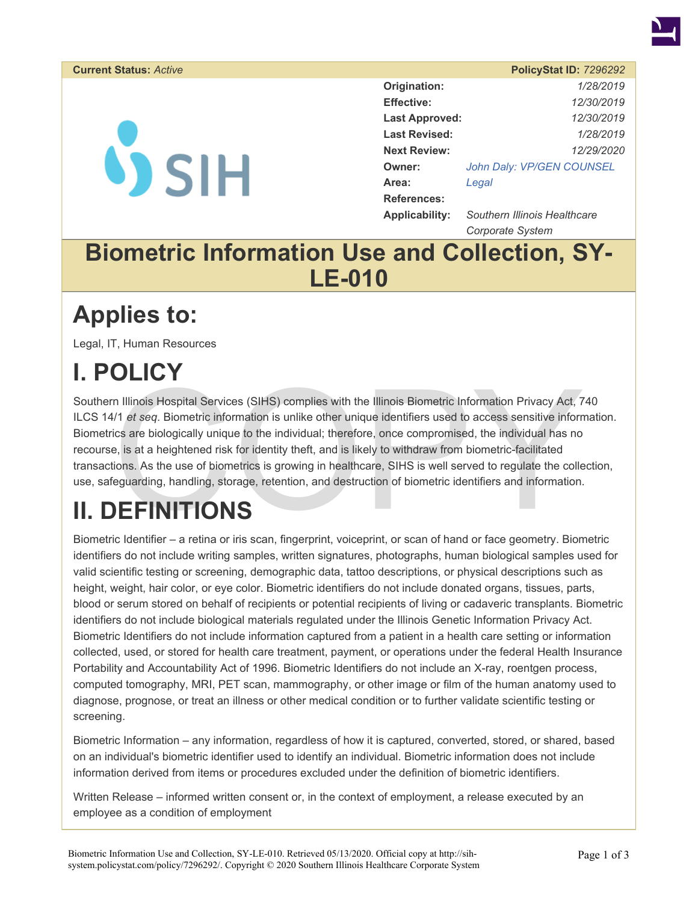

#### **Current Status: Active**

 $\mathbf{\dot{S}}$ 

|                       | <b>PolicyStat ID: 7296292</b> |
|-----------------------|-------------------------------|
| Origination:          | 1/28/2019                     |
| <b>Effective:</b>     | 12/30/2019                    |
| <b>Last Approved:</b> | 12/30/2019                    |
| <b>Last Revised:</b>  | 1/28/2019                     |
| <b>Next Review:</b>   | 12/29/2020                    |
| Owner:                | John Daly: VP/GEN COUNSEL     |
| Area:                 | Legal                         |
| <b>References:</b>    |                               |
| <b>Applicability:</b> | Southern Illinois Healthcare  |

*Corporate System* 

#### **Biometric Information Use and Collection, SY-LE-010**

#### **Applies to:**

Legal, IT, Human Resources

# **I. POLICY**

In Illinois Hospital Services (SIHS) complies with the Illinois Biometric Information Privacy Act, 7<br>
1/1 et seq. Biometric information is unlike other unique identifiers used to access sensitive information<br>
ics are biolo Southern Illinois Hospital Services (SIHS) complies with the Illinois Biometric Information Privacy Act, 740 ILCS 14/1 *et seq*. Biometric information is unlike other unique identifiers used to access sensitive information. Biometrics are biologically unique to the individual; therefore, once compromised, the individual has no recourse, is at a heightened risk for identity theft, and is likely to withdraw from biometric-facilitated transactions. As the use of biometrics is growing in healthcare, SIHS is well served to regulate the collection, use, safeguarding, handling, storage, retention, and destruction of biometric identifiers and information.

### **II. DEFINITIONS**

Biometric Identifier – a retina or iris scan, fingerprint, voiceprint, or scan of hand or face geometry. Biometric identifiers do not include writing samples, written signatures, photographs, human biological samples used for valid scientific testing or screening, demographic data, tattoo descriptions, or physical descriptions such as height, weight, hair color, or eye color. Biometric identifiers do not include donated organs, tissues, parts, blood or serum stored on behalf of recipients or potential recipients of living or cadaveric transplants. Biometric identifiers do not include biological materials regulated under the Illinois Genetic Information Privacy Act. Biometric Identifiers do not include information captured from a patient in a health care setting or information collected, used, or stored for health care treatment, payment, or operations under the federal Health Insurance Portability and Accountability Act of 1996. Biometric Identifiers do not include an X-ray, roentgen process, computed tomography, MRI, PET scan, mammography, or other image or film of the human anatomy used to diagnose, prognose, or treat an illness or other medical condition or to further validate scientific testing or screening.

Biometric Information – any information, regardless of how it is captured, converted, stored, or shared, based on an individual's biometric identifier used to identify an individual. Biometric information does not include information derived from items or procedures excluded under the definition of biometric identifiers.

Written Release – informed written consent or, in the context of employment, a release executed by an employee as a condition of employment

Biometric Information Use and Collection, SY-LE-010. Retrieved 05/13/2020. Official copy at http://sihsystem.policystat.com/policy/7296292/. Copyright © 2020 Southern Illinois Healthcare Corporate System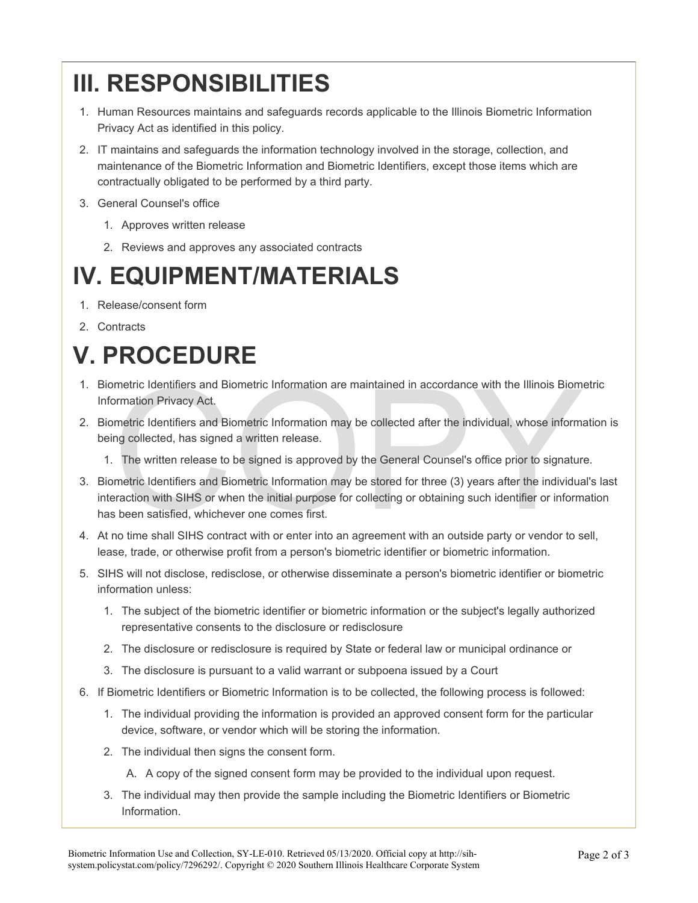## **III. RESPONSIBILITIES**

- 1. Human Resources maintains and safeguards records applicable to the Illinois Biometric Information Privacy Act as identified in this policy.
- 2. IT maintains and safeguards the information technology involved in the storage, collection, and maintenance of the Biometric Information and Biometric Identifiers, except those items which are contractually obligated to be performed by a third party.
- 3. General Counsel's office
	- 1. Approves written release
	- 2. Reviews and approves any associated contracts

### **IV. EQUIPMENT/MATERIALS**

- 1. Release/consent form
- 2. Contracts

# **V. PROCEDURE**

- 1. Biometric Identifiers and Biometric Information are maintained in accordance with the Illinois Biometric Information Privacy Act.
- 2. Biometric Identifiers and Biometric Information may be collected after the individual, whose information is being collected, has signed a written release.
	- 1. The written release to be signed is approved by the General Counsel's office prior to signature.
- metric Identifiers and Biometric Information are maintained in accordance with the Illinois Biomormation Privacy Act.<br>
metric Identifiers and Biometric Information may be collected after the individual, whose information g 3. Biometric Identifiers and Biometric Information may be stored for three (3) years after the individual's last interaction with SIHS or when the initial purpose for collecting or obtaining such identifier or information has been satisfied, whichever one comes first.
- 4. At no time shall SIHS contract with or enter into an agreement with an outside party or vendor to sell, lease, trade, or otherwise profit from a person's biometric identifier or biometric information.
- 5. SIHS will not disclose, redisclose, or otherwise disseminate a person's biometric identifier or biometric information unless:
	- 1. The subject of the biometric identifier or biometric information or the subject's legally authorized representative consents to the disclosure or redisclosure
	- 2. The disclosure or redisclosure is required by State or federal law or municipal ordinance or
	- 3. The disclosure is pursuant to a valid warrant or subpoena issued by a Court
- 6. If Biometric Identifiers or Biometric Information is to be collected, the following process is followed:
	- 1. The individual providing the information is provided an approved consent form for the particular device, software, or vendor which will be storing the information.
	- 2. The individual then signs the consent form.
		- A. A copy of the signed consent form may be provided to the individual upon request.
	- 3. The individual may then provide the sample including the Biometric Identifiers or Biometric Information.